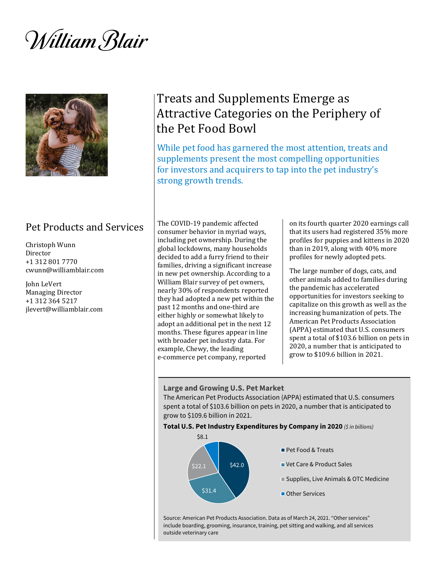*William Blair* 



### Pet Products and Services

Christoph Wunn Director +1 312 801 7770 cwunn@williamblair.com

John LeVert Managing Director +1 312 364 5217 jlevert@williamblair.com

# Treats and Supplements Emerge as Attractive Categories on the Periphery of the Pet Food Bowl

While pet food has garnered the most attention, treats and supplements present the most compelling opportunities for investors and acquirers to tap into the pet industry's strong growth trends.

The COVID-19 pandemic affected consumer behavior in myriad ways, including pet ownership. During the global lockdowns, many households decided to add a furry friend to their families, driving a significant increase in new pet ownership. According to a William Blair survey of pet owners, nearly 30% of respondents reported they had adopted a new pet within the past 12 months and one-third are either highly or somewhat likely to adopt an additional pet in the next 12 months. These figures appear in line with broader pet industry data. For example, Chewy, the leading e-commerce pet company, reported

on its fourth quarter 2020 earnings call that its users had registered 35% more profiles for puppies and kittens in 2020 than in 2019, along with 40% more profiles for newly adopted pets.

The large number of dogs, cats, and other animals added to families during the pandemic has accelerated opportunities for investors seeking to capitalize on this growth as well as the increasing humanization of pets. The American Pet Products Association (APPA) estimated that U.S. consumers spent a total of \$103.6 billion on pets in 2020, a number that is anticipated to grow to \$109.6 billion in 2021.

### **Large and Growing U.S. Pet Market**

The American Pet Products Association (APPA) estimated that U.S. consumers spent a total of \$103.6 billion on pets in 2020, a number that is anticipated to grow to \$109.6 billion in 2021.

#### **Total U.S. Pet Industry Expenditures by Company in 2020** *(\$ in billions)*



Source: American Pet Products Association. Data as of March 24, 2021. "Other services" include boarding, grooming, insurance, training, pet sitting and walking, and all services outside veterinary care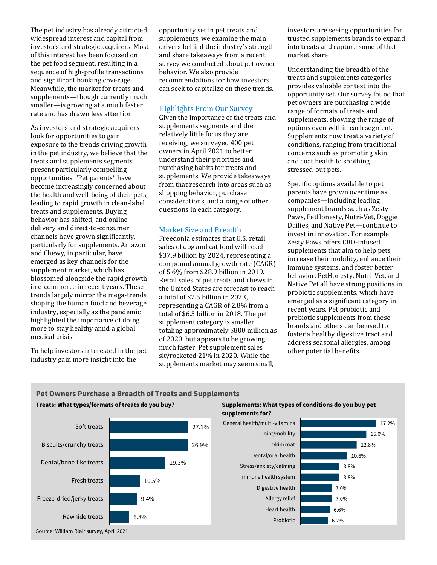The pet industry has already attracted widespread interest and capital from investors and strategic acquirers. Most of this interest has been focused on the pet food segment, resulting in a sequence of high-profile transactions and significant banking coverage. Meanwhile, the market for treats and supplements—though currently much smaller—is growing at a much faster rate and has drawn less attention.

As investors and strategic acquirers look for opportunities to gain exposure to the trends driving growth in the pet industry, we believe that the treats and supplements segments present particularly compelling opportunities. "Pet parents" have become increasingly concerned about the health and well-being of their pets, leading to rapid growth in clean-label treats and supplements. Buying behavior has shifted, and online delivery and direct-to-consumer channels have grown significantly, particularly for supplements. Amazon and Chewy, in particular, have emerged as key channels for the supplement market, which has blossomed alongside the rapid growth in e-commerce in recent years. These trends largely mirror the mega-trends shaping the human food and beverage industry, especially as the pandemic highlighted the importance of doing more to stay healthy amid a global medical crisis.

To help investors interested in the pet industry gain more insight into the

opportunity set in pet treats and supplements, we examine the main drivers behind the industry's strength and share takeaways from a recent survey we conducted about pet owner behavior. We also provide recommendations for how investors can seek to capitalize on these trends.

### Highlights From Our Survey

Given the importance of the treats and supplements segments and the relatively little focus they are receiving, we surveyed 400 pet owners in April 2021 to better understand their priorities and purchasing habits for treats and supplements. We provide takeaways from that research into areas such as shopping behavior, purchase considerations, and a range of other questions in each category.

### Market Size and Breadth

Freedonia estimates that U.S. retail sales of dog and cat food will reach \$37.9 billion by 2024, representing a compound annual growth rate (CAGR) of 5.6% from \$28.9 billion in 2019. Retail sales of pet treats and chews in the United States are forecast to reach a total of \$7.5 billion in 2023, representing a CAGR of 2.8% from a total of \$6.5 billion in 2018. The pet supplement category is smaller, totaling approximately \$800 million as of 2020, but appears to be growing much faster. Pet supplement sales skyrocketed 21% in 2020. While the supplements market may seem small,

investors are seeing opportunities for trusted supplements brands to expand into treats and capture some of that market share.

Understanding the breadth of the treats and supplements categories provides valuable context into the opportunity set. Our survey found that pet owners are purchasing a wide range of formats of treats and supplements, showing the range of options even within each segment. Supplements now treat a variety of conditions, ranging from traditional concerns such as promoting skin and coat health to soothing stressed-out pets.

Specific options available to pet parents have grown over time as companies—including leading supplement brands such as Zesty Paws, PetHonesty, Nutri-Vet, Doggie Dailies, and Native Pet—continue to invest in innovation. For example, Zesty Paws offers CBD-infused supplements that aim to help pets increase their mobility, enhance their immune systems, and foster better behavior. PetHonesty, Nutri-Vet, and Native Pet all have strong positions in probiotic supplements, which have emerged as a significant category in recent years. Pet probiotic and prebiotic supplements from these brands and others can be used to foster a healthy digestive tract and address seasonal allergies, among other potential benefits.

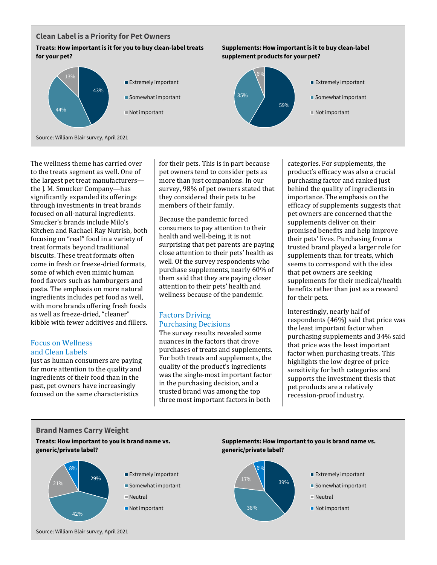### **Clean Label is a Priority for Pet Owners**

### **Treats: How important is it for you to buy clean-label treats for your pet?**



The wellness theme has carried over to the treats segment as well. One of the largest pet treat manufacturers the J. M. Smucker Company—has significantly expanded its offerings through investments in treat brands focused on all-natural ingredients. Smucker's brands include Milo's Kitchen and Rachael Ray Nutrish, both focusing on "real" food in a variety of treat formats beyond traditional biscuits. These treat formats often come in fresh or freeze-dried formats, some of which even mimic human food flavors such as hamburgers and pasta. The emphasis on more natural ingredients includes pet food as well, with more brands offering fresh foods as well as freeze-dried, "cleaner" kibble with fewer additives and fillers.

### Focus on Wellness and Clean Labels

Just as human consumers are paying far more attention to the quality and ingredients of their food than in the past, pet owners have increasingly focused on the same characteristics

for their pets. This is in part because pet owners tend to consider pets as more than just companions. In our survey, 98% of pet owners stated that they considered their pets to be members of their family.

Because the pandemic forced consumers to pay attention to their health and well-being, it is not surprising that pet parents are paying close attention to their pets' health as well. Of the survey respondents who purchase supplements, nearly 60% of them said that they are paying closer attention to their pets' health and wellness because of the pandemic.

### Factors Driving Purchasing Decisions

The survey results revealed some nuances in the factors that drove purchases of treats and supplements. For both treats and supplements, the quality of the product's ingredients was the single-most important factor in the purchasing decision, and a trusted brand was among the top three most important factors in both

categories. For supplements, the product's efficacy was also a crucial purchasing factor and ranked just behind the quality of ingredients in importance. The emphasis on the efficacy of supplements suggests that pet owners are concerned that the supplements deliver on their promised benefits and help improve their pets' lives. Purchasing from a trusted brand played a larger role for supplements than for treats, which seems to correspond with the idea that pet owners are seeking supplements for their medical/health benefits rather than just as a reward for their pets.

Interestingly, nearly half of respondents (46%) said that price was the least important factor when purchasing supplements and 34% said that price was the least important factor when purchasing treats. This highlights the low degree of price sensitivity for both categories and supports the investment thesis that pet products are a relatively recession-proof industry.

### **Brand Names Carry Weight**

**Treats: How important to you is brand name vs. generic/private label?**





**Supplements: How important is it to buy clean-label** 

**supplement products for your pet?**



- **Extremely important**
- **Somewhat important**
- Neutral
- Not important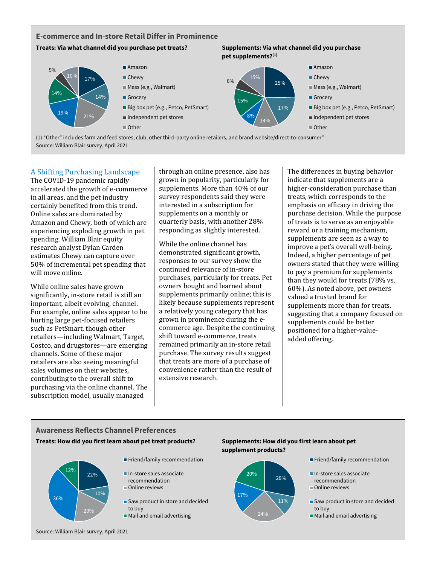### **E-commerce and In-store Retail Differ in Prominence**

### **Treats: Via what channel did you purchase pet treats? Supplements: Via what channel did you purchase**



**pet supplements?(1)**

(1) "Other" includes farm and feed stores, club, other third-party online retailers, and brand website/direct-to-consumer" Source: William Blair survey, April 2021

### A Shifting Purchasing Landscape

The COVID-19 pandemic rapidly accelerated the growth of e-commerce in all areas, and the pet industry certainly benefited from this trend. Online sales are dominated by Amazon and Chewy, both of which are experiencing exploding growth in pet spending. William Blair equity research analyst Dylan Carden estimates Chewy can capture over 50% of incremental pet spending that will move online.

While online sales have grown significantly, in-store retail is still an important, albeit evolving, channel. For example, online sales appear to be hurting large pet-focused retailers such as PetSmart, though other retailers—including Walmart, Target, Costco, and drugstores—are emerging channels. Some of these major retailers are also seeing meaningful sales volumes on their websites, contributing to the overall shift to purchasing via the online channel. The subscription model, usually managed

through an online presence, also has grown in popularity, particularly for supplements. More than 40% of our survey respondents said they were interested in a subscription for supplements on a monthly or quarterly basis, with another 28% responding as slightly interested.

While the online channel has demonstrated significant growth, responses to our survey show the continued relevance of in-store purchases, particularly for treats. Pet owners bought and learned about supplements primarily online; this is likely because supplements represent a relatively young category that has grown in prominence during the ecommerce age. Despite the continuing shift toward e-commerce, treats remained primarily an in-store retail purchase. The survey results suggest that treats are more of a purchase of convenience rather than the result of extensive research.

The differences in buying behavior indicate that supplements are a higher-consideration purchase than treats, which corresponds to the emphasis on efficacy in driving the purchase decision. While the purpose of treats is to serve as an enjoyable reward or a training mechanism, supplements are seen as a way to improve a pet's overall well-being. Indeed, a higher percentage of pet owners stated that they were willing to pay a premium for supplements than they would for treats (78% vs. 60%). As noted above, pet owners valued a trusted brand for supplements more than for treats, suggesting that a company focused on supplements could be better positioned for a higher-valueadded offering.

## **Awareness Reflects Channel Preferences**





- Friend/family recommendation
- In-store sales associate recommendation
- **Online reviews**
- Saw product in store and decided to buy
- Mail and email advertising





- **Friend/family recommendation**
- In-store sales associate recommendation
- Online reviews
- Saw product in store and decided to buy
- **Mail and email advertising**

Source: William Blair survey, April 2021